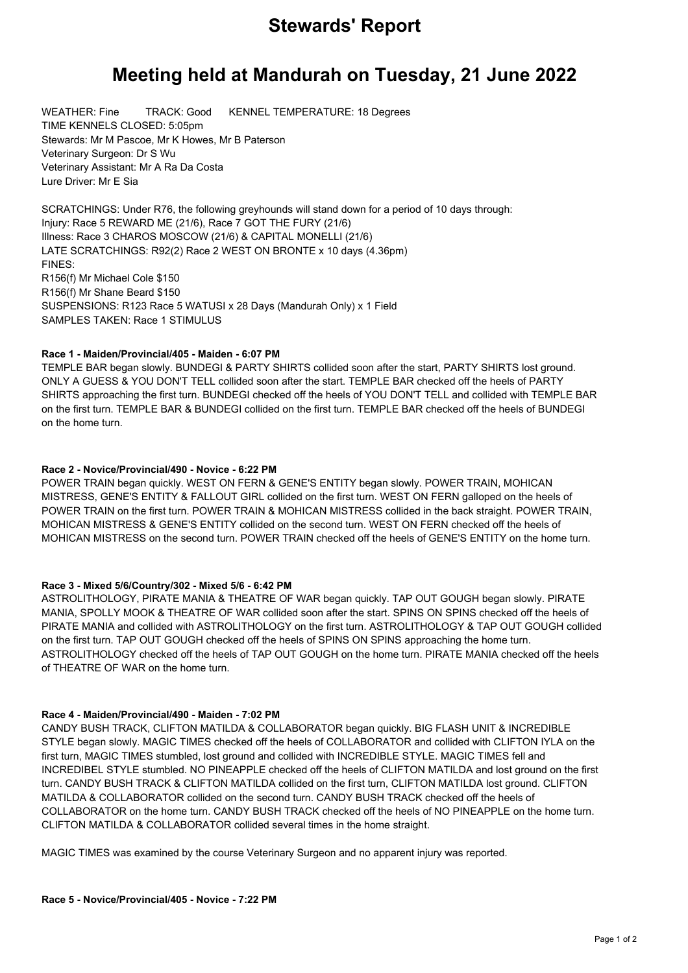## **Stewards' Report**

# **Meeting held at Mandurah on Tuesday, 21 June 2022**

WEATHER: Fine TRACK: Good KENNEL TEMPERATURE: 18 Degrees TIME KENNELS CLOSED: 5:05pm Stewards: Mr M Pascoe, Mr K Howes, Mr B Paterson Veterinary Surgeon: Dr S Wu Veterinary Assistant: Mr A Ra Da Costa Lure Driver: Mr E Sia

SCRATCHINGS: Under R76, the following greyhounds will stand down for a period of 10 days through: Injury: Race 5 REWARD ME (21/6), Race 7 GOT THE FURY (21/6) Illness: Race 3 CHAROS MOSCOW (21/6) & CAPITAL MONELLI (21/6) LATE SCRATCHINGS: R92(2) Race 2 WEST ON BRONTE x 10 days (4.36pm) FINES: R156(f) Mr Michael Cole \$150 R156(f) Mr Shane Beard \$150 SUSPENSIONS: R123 Race 5 WATUSI x 28 Days (Mandurah Only) x 1 Field SAMPLES TAKEN: Race 1 STIMULUS

### **Race 1 - Maiden/Provincial/405 - Maiden - 6:07 PM**

TEMPLE BAR began slowly. BUNDEGI & PARTY SHIRTS collided soon after the start, PARTY SHIRTS lost ground. ONLY A GUESS & YOU DON'T TELL collided soon after the start. TEMPLE BAR checked off the heels of PARTY SHIRTS approaching the first turn. BUNDEGI checked off the heels of YOU DON'T TELL and collided with TEMPLE BAR on the first turn. TEMPLE BAR & BUNDEGI collided on the first turn. TEMPLE BAR checked off the heels of BUNDEGI on the home turn.

#### **Race 2 - Novice/Provincial/490 - Novice - 6:22 PM**

POWER TRAIN began quickly. WEST ON FERN & GENE'S ENTITY began slowly. POWER TRAIN, MOHICAN MISTRESS, GENE'S ENTITY & FALLOUT GIRL collided on the first turn. WEST ON FERN galloped on the heels of POWER TRAIN on the first turn. POWER TRAIN & MOHICAN MISTRESS collided in the back straight. POWER TRAIN, MOHICAN MISTRESS & GENE'S ENTITY collided on the second turn. WEST ON FERN checked off the heels of MOHICAN MISTRESS on the second turn. POWER TRAIN checked off the heels of GENE'S ENTITY on the home turn.

### **Race 3 - Mixed 5/6/Country/302 - Mixed 5/6 - 6:42 PM**

ASTROLITHOLOGY, PIRATE MANIA & THEATRE OF WAR began quickly. TAP OUT GOUGH began slowly. PIRATE MANIA, SPOLLY MOOK & THEATRE OF WAR collided soon after the start. SPINS ON SPINS checked off the heels of PIRATE MANIA and collided with ASTROLITHOLOGY on the first turn. ASTROLITHOLOGY & TAP OUT GOUGH collided on the first turn. TAP OUT GOUGH checked off the heels of SPINS ON SPINS approaching the home turn. ASTROLITHOLOGY checked off the heels of TAP OUT GOUGH on the home turn. PIRATE MANIA checked off the heels of THEATRE OF WAR on the home turn.

### **Race 4 - Maiden/Provincial/490 - Maiden - 7:02 PM**

CANDY BUSH TRACK, CLIFTON MATILDA & COLLABORATOR began quickly. BIG FLASH UNIT & INCREDIBLE STYLE began slowly. MAGIC TIMES checked off the heels of COLLABORATOR and collided with CLIFTON IYLA on the first turn, MAGIC TIMES stumbled, lost ground and collided with INCREDIBLE STYLE. MAGIC TIMES fell and INCREDIBEL STYLE stumbled. NO PINEAPPLE checked off the heels of CLIFTON MATILDA and lost ground on the first turn. CANDY BUSH TRACK & CLIFTON MATILDA collided on the first turn, CLIFTON MATILDA lost ground. CLIFTON MATILDA & COLLABORATOR collided on the second turn. CANDY BUSH TRACK checked off the heels of COLLABORATOR on the home turn. CANDY BUSH TRACK checked off the heels of NO PINEAPPLE on the home turn. CLIFTON MATILDA & COLLABORATOR collided several times in the home straight.

MAGIC TIMES was examined by the course Veterinary Surgeon and no apparent injury was reported.